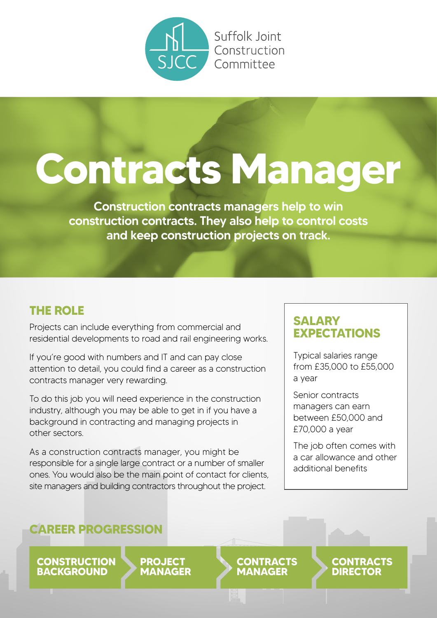

# **Contracts Manager**

Construction contracts managers help to win construction contracts. They also help to control costs and keep construction projects on track.

### **THE ROLE**

Projects can include everything from commercial and residential developments to road and rail engineering works.

If you're good with numbers and IT and can pay close attention to detail, you could find a career as a construction contracts manager very rewarding.

To do this job you will need experience in the construction industry, although you may be able to get in if you have a background in contracting and managing projects in other sectors.

As a construction contracts manager, you might be responsible for a single large contract or a number of smaller ones. You would also be the main point of contact for clients, site managers and building contractors throughout the project.

### **SALARY EXPECTATIONS**

Typical salaries range from £35,000 to £55,000 a year

Senior contracts managers can earn between £50,000 and £70,000 a year

The job often comes with a car allowance and other additional benefits

### **CAREER PROGRESSION**

**CONSTRUCTION BACKGROUND** 

**PROJECT MANAGER** **CONTRACTS MANAGER**

**CONTRACTS DIRECTOR**